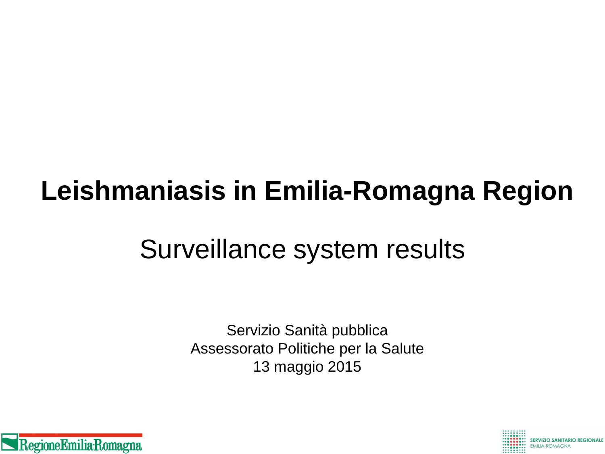# **Leishmaniasis in Emilia-Romagna Region**

## Surveillance system results

Servizio Sanità pubblica Assessorato Politiche per la Salute 13 maggio 2015



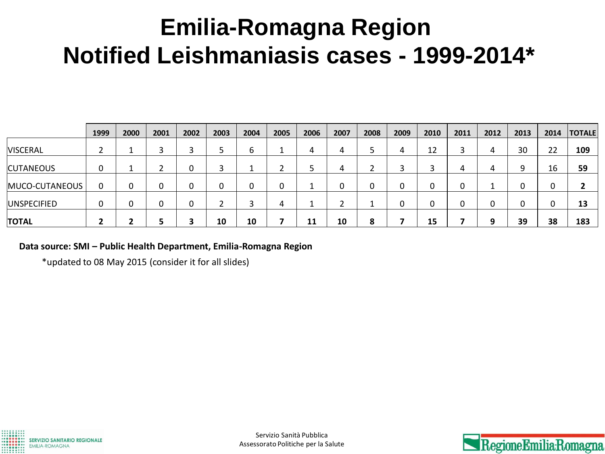## **Emilia-Romagna Region Notified Leishmaniasis cases - 1999-2014\***

|                    | 1999     | 2000 | 2001 | 2002 | 2003 | 2004 | 2005        | 2006 | 2007       | 2008   | 2009 | 2010 | 2011 | 2012 | 2013         | 2014 | <b>TOTALE</b> |
|--------------------|----------|------|------|------|------|------|-------------|------|------------|--------|------|------|------|------|--------------|------|---------------|
| <b>VISCERAL</b>    | <u>.</u> |      | 3    | -    |      | ь    | ᆠ           | 4    | 4          | כ      | 4    | 12   |      | 4    | 30           | 22   | 109           |
| <b>CUTANEOUS</b>   |          |      | ◠    | 0    | ◠    |      | ∽           |      | 4          | ຳ<br>∸ | ว    | ◠    | 4    | 4    | q            | 16   | 59            |
| MUCO-CUTANEOUS     | 0        | 0    |      |      | 0    |      | $\mathbf 0$ |      | 0          | 0      | 0    |      |      |      | $\mathbf{0}$ |      |               |
| <b>UNSPECIFIED</b> |          | 0    | U J  |      |      | ີ    | 4           |      | $\epsilon$ |        | 0    |      |      | 0    | 0            |      | 13            |
| <b>TOTAL</b>       |          |      |      |      | 10   | 10   |             | 11   | 10         | 8      |      | 15   |      | q    | 39           | 38   | 183           |

**Data source: SMI – Public Health Department, Emilia-Romagna Region**

\*updated to 08 May 2015 (consider it for all slides)



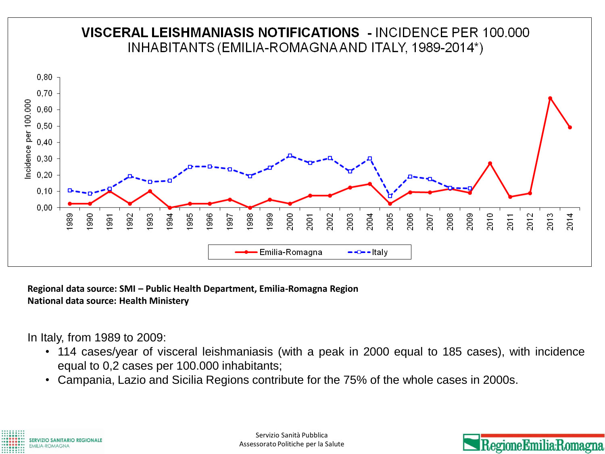

**Regional data source: SMI – Public Health Department, Emilia-Romagna Region National data source: Health Ministery**

In Italy, from 1989 to 2009:

- 114 cases/year of visceral leishmaniasis (with a peak in 2000 equal to 185 cases), with incidence equal to 0,2 cases per 100.000 inhabitants;
- Campania, Lazio and Sicilia Regions contribute for the 75% of the whole cases in 2000s.



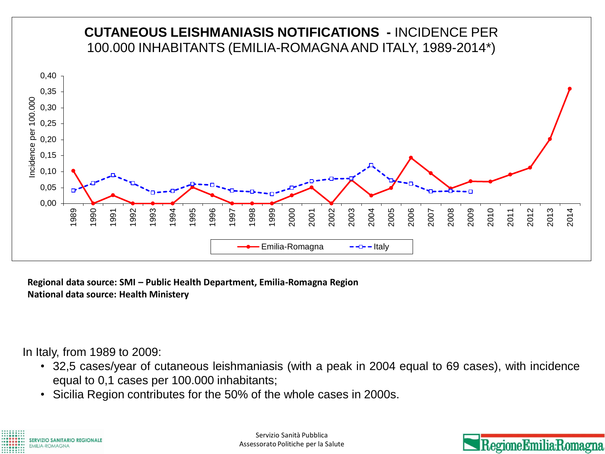

**Regional data source: SMI – Public Health Department, Emilia-Romagna Region National data source: Health Ministery**

In Italy, from 1989 to 2009:

- 32,5 cases/year of cutaneous leishmaniasis (with a peak in 2004 equal to 69 cases), with incidence equal to 0,1 cases per 100.000 inhabitants;
- Sicilia Region contributes for the 50% of the whole cases in 2000s.



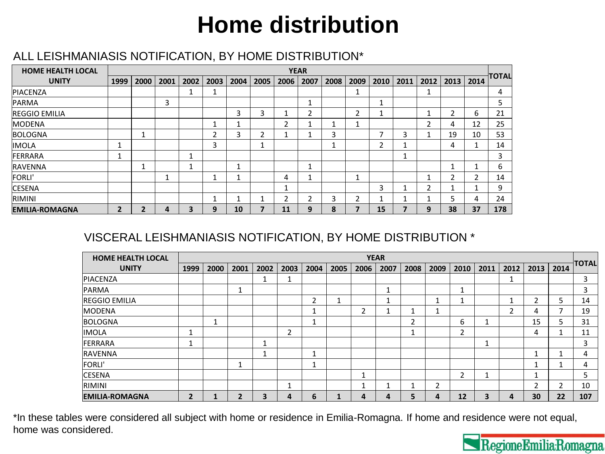## **Home distribution**

#### ALL LEISHMANIASIS NOTIFICATION, BY HOME DISTRIBUTION\*

| <b>HOME HEALTH LOCAL</b> |      |      |      |      |      |      |      | <b>YEAR</b> |                |      |      |      |                          |      |                |      |         |
|--------------------------|------|------|------|------|------|------|------|-------------|----------------|------|------|------|--------------------------|------|----------------|------|---------|
| <b>UNITY</b>             | 1999 | 2000 | 2001 | 2002 | 2003 | 2004 | 2005 | 2006        | 2007           | 2008 | 2009 | 2010 | 2011                     | 2012 | 2013           | 2014 | ∃TOTALI |
| PIACENZA                 |      |      |      | и    |      |      |      |             |                |      | ٠    |      |                          |      |                |      | 4       |
| <b>PARMA</b>             |      |      | 3    |      |      |      |      |             | J.             |      |      | ٠    |                          |      |                |      | 5       |
| <b>REGGIO EMILIA</b>     |      |      |      |      |      | 3    | 3    |             | $\overline{2}$ |      | 2    | л    |                          |      | $\overline{2}$ | 6    | 21      |
| MODENA                   |      |      |      |      |      |      |      |             |                |      | ٠    |      |                          | 2    | 4              | 12   | 25      |
| <b>BOLOGNA</b>           |      | 4    |      |      | 2    | 3    | 2    |             |                | 3    |      | ⇁    | 3                        |      | 19             | 10   | 53      |
| IMOLA                    |      |      |      |      | 3    |      | ٠    |             |                |      |      | h    | ◢                        |      | 4              |      | 14      |
| <b>FERRARA</b>           |      |      |      | 1    |      |      |      |             |                |      |      |      | $\overline{\phantom{a}}$ |      |                |      | 3       |
| RAVENNA                  |      |      |      | 1    |      |      |      |             |                |      |      |      |                          |      | П              |      | 6       |
| <b>FORLI'</b>            |      |      | и    |      |      |      |      | 4           |                |      | ٠    |      |                          |      | $\overline{2}$ | 2    | 14      |
| <b>CESENA</b>            |      |      |      |      |      |      |      |             |                |      |      | 3    |                          | 2    |                |      | 9       |
| RIMINI                   |      |      |      |      |      |      |      |             | 2              | 3    | າ    | A    | -1                       |      | 5              | 4    | 24      |
| <b>EMILIA-ROMAGNA</b>    | 2    | 7    | 4    | 3    | 9    | 10   |      | 11          | 9              | 8    |      | 15   |                          | 9    | 38             | 37   | 178     |

#### VISCERAL LEISHMANIASIS NOTIFICATION, BY HOME DISTRIBUTION \*

| <b>HOME HEALTH LOCAL</b> | <b>YEAR</b>    |      |      |        |      |      |      |      |                          |         |      |      |      |      |                |                          |              |
|--------------------------|----------------|------|------|--------|------|------|------|------|--------------------------|---------|------|------|------|------|----------------|--------------------------|--------------|
| <b>UNITY</b>             | 1999           | 2000 | 2001 | 2002   | 2003 | 2004 | 2005 | 2006 | 2007                     | 2008    | 2009 | 2010 | 2011 | 2012 | 2013           | 2014                     | <b>TOTAL</b> |
| PIACENZA                 |                |      |      | ш      | и    |      |      |      |                          |         |      |      |      | 1    |                |                          | 3            |
| PARMA                    |                |      |      |        |      |      |      |      |                          |         |      |      |      |      |                |                          | 3            |
| <b>REGGIO EMILIA</b>     |                |      |      |        |      | 2    | ٠    |      | $\overline{\phantom{a}}$ |         |      |      |      | 1    | $\mathfrak{p}$ | 5                        | 14           |
| <b>MODENA</b>            |                |      |      |        |      | и    |      | ◠    |                          |         |      |      |      | 2    | 4              |                          | 19           |
| <b>BOLOGNA</b>           |                |      |      |        |      |      |      |      |                          | C.<br>ے |      | ь    |      |      | 15             | ∍                        | 31           |
| IMOLA                    |                |      |      |        | 2    |      |      |      |                          |         |      | າ    |      |      | 4              |                          | 11           |
| <b>FERRARA</b>           |                |      |      | Ŧ.     |      |      |      |      |                          |         |      |      | Ŧ    |      |                |                          | 3            |
| <b>RAVENNA</b>           |                |      |      | и<br>T |      | ٠    |      |      |                          |         |      |      |      |      | и              | $\overline{\phantom{a}}$ | 4            |
| <b>FORLI'</b>            |                |      |      |        |      | и    |      |      |                          |         |      |      |      |      | ٠              |                          | 4            |
| <b>CESENA</b>            |                |      |      |        |      |      |      |      |                          |         |      | 2    |      |      | и              |                          | 5            |
| <b>RIMINI</b>            |                |      |      |        | ٠    |      |      |      |                          |         | າ    |      |      |      | $\overline{2}$ | ∍                        | 10           |
| <b>EMILIA-ROMAGNA</b>    | $\overline{2}$ |      | 7    | 3      | 4    | 6    |      |      | 4                        | 5.      | 4    | 12   | 3    | 4    | 30             | 22                       | 107          |

\*In these tables were considered all subject with home or residence in Emilia-Romagna. If home and residence were not equal, home was considered.

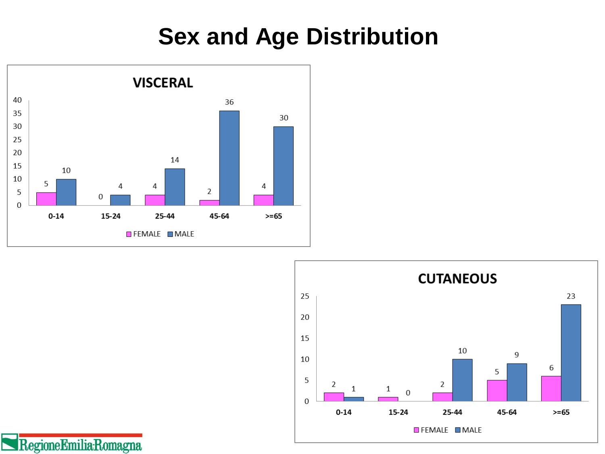### **Sex and Age Distribution**



RegioneEmilia-Romagna